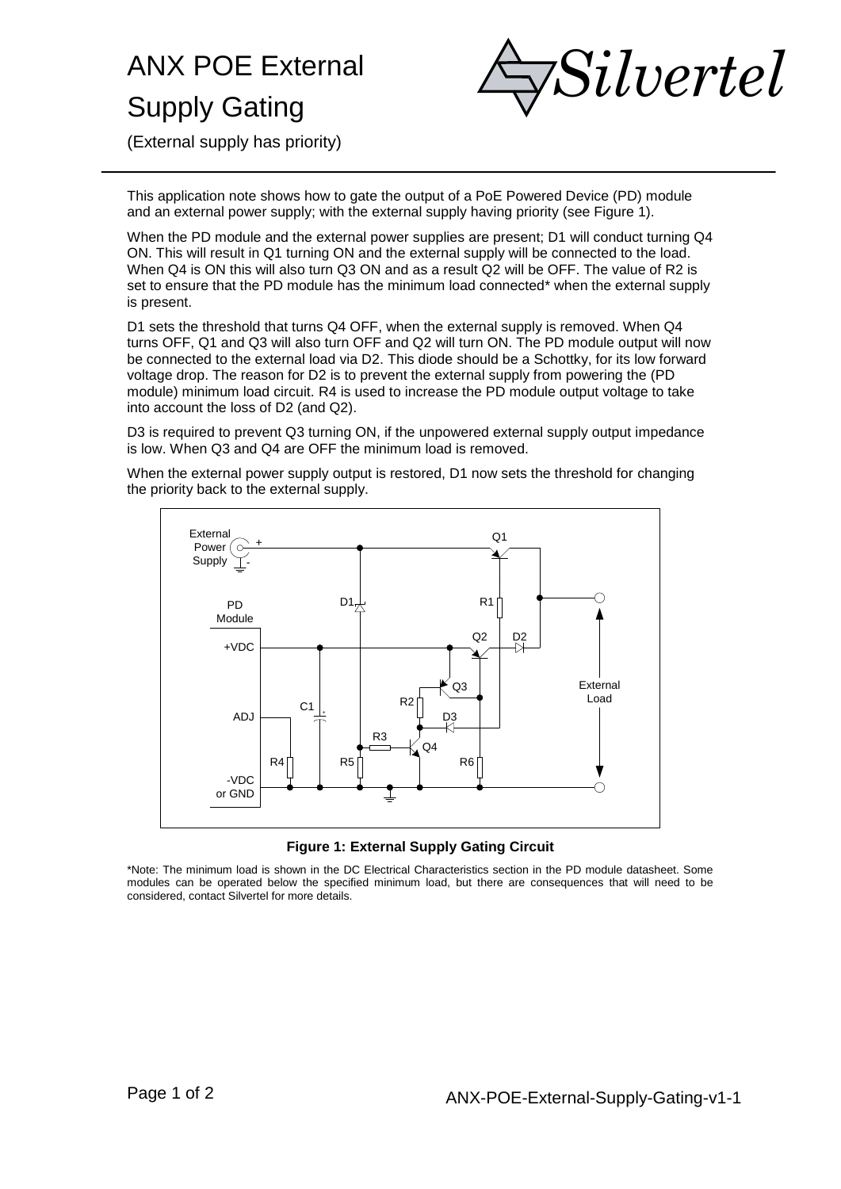## ANX POE External Supply Gating



(External supply has priority)

This application note shows how to gate the output of a PoE Powered Device (PD) module and an external power supply; with the external supply having priority (see Figure 1).

When the PD module and the external power supplies are present; D1 will conduct turning Q4 ON. This will result in Q1 turning ON and the external supply will be connected to the load. When Q4 is ON this will also turn Q3 ON and as a result Q2 will be OFF. The value of R2 is set to ensure that the PD module has the minimum load connected\* when the external supply is present.

D1 sets the threshold that turns Q4 OFF, when the external supply is removed. When Q4 turns OFF, Q1 and Q3 will also turn OFF and Q2 will turn ON. The PD module output will now be connected to the external load via D2. This diode should be a Schottky, for its low forward voltage drop. The reason for D2 is to prevent the external supply from powering the (PD module) minimum load circuit. R4 is used to increase the PD module output voltage to take into account the loss of D2 (and Q2).

D3 is required to prevent Q3 turning ON, if the unpowered external supply output impedance is low. When Q3 and Q4 are OFF the minimum load is removed.

When the external power supply output is restored, D1 now sets the threshold for changing the priority back to the external supply.



**Figure 1: External Supply Gating Circuit**

\*Note: The minimum load is shown in the DC Electrical Characteristics section in the PD module datasheet. Some modules can be operated below the specified minimum load, but there are consequences that will need to be considered, contact Silvertel for more details.